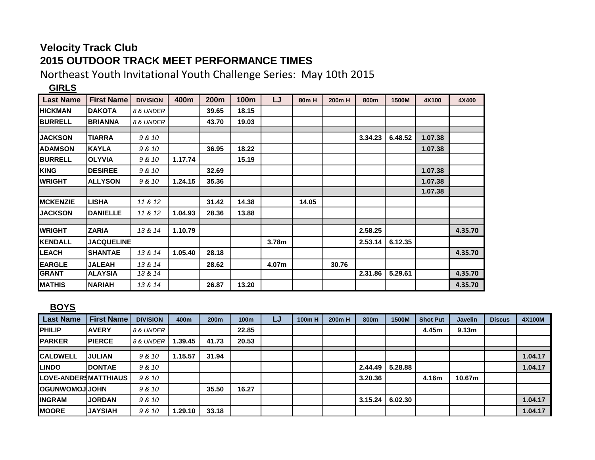## **Velocity Track Club 2015 OUTDOOR TRACK MEET PERFORMANCE TIMES**

Northeast Youth Invitational Youth Challenge Series: May 10th 2015

## **GIRLS**

| <b>Last Name</b> | <b>First Name</b> | <b>DIVISION</b> | 400m    | 200m  | 100m  | LJ    | 80 <sub>m</sub> H | 200m H | 800m    | 1500M   | 4X100   | 4X400   |
|------------------|-------------------|-----------------|---------|-------|-------|-------|-------------------|--------|---------|---------|---------|---------|
| <b>HICKMAN</b>   | <b>DAKOTA</b>     | 8 & UNDER       |         | 39.65 | 18.15 |       |                   |        |         |         |         |         |
| <b>BURRELL</b>   | <b>BRIANNA</b>    | 8 & UNDER       |         | 43.70 | 19.03 |       |                   |        |         |         |         |         |
|                  |                   |                 |         |       |       |       |                   |        |         |         |         |         |
| <b>JACKSON</b>   | <b>TIARRA</b>     | 9 & 10          |         |       |       |       |                   |        | 3.34.23 | 6.48.52 | 1.07.38 |         |
| <b>ADAMSON</b>   | <b>KAYLA</b>      | 9 & 10          |         | 36.95 | 18.22 |       |                   |        |         |         | 1.07.38 |         |
| <b>BURRELL</b>   | <b>OLYVIA</b>     | 9 & 10          | 1.17.74 |       | 15.19 |       |                   |        |         |         |         |         |
| <b>KING</b>      | <b>DESIREE</b>    | 9 & 10          |         | 32.69 |       |       |                   |        |         |         | 1.07.38 |         |
| <b>WRIGHT</b>    | <b>ALLYSON</b>    | 9 & 10          | 1.24.15 | 35.36 |       |       |                   |        |         |         | 1.07.38 |         |
|                  |                   |                 |         |       |       |       |                   |        |         |         | 1.07.38 |         |
| <b>MCKENZIE</b>  | <b>LISHA</b>      | 11 & 12         |         | 31.42 | 14.38 |       | 14.05             |        |         |         |         |         |
| <b>JACKSON</b>   | <b>DANIELLE</b>   | 11 & 12         | 1.04.93 | 28.36 | 13.88 |       |                   |        |         |         |         |         |
|                  |                   |                 |         |       |       |       |                   |        |         |         |         |         |
| <b>WRIGHT</b>    | <b>ZARIA</b>      | 13 & 14         | 1.10.79 |       |       |       |                   |        | 2.58.25 |         |         | 4.35.70 |
| <b>KENDALL</b>   | <b>JACQUELINE</b> |                 |         |       |       | 3.78m |                   |        | 2.53.14 | 6.12.35 |         |         |
| <b>LEACH</b>     | <b>SHANTAE</b>    | 13 & 14         | 1.05.40 | 28.18 |       |       |                   |        |         |         |         | 4.35.70 |
| <b>EARGLE</b>    | <b>JALEAH</b>     | 13 & 14         |         | 28.62 |       | 4.07m |                   | 30.76  |         |         |         |         |
| <b>GRANT</b>     | <b>ALAYSIA</b>    | 13 & 14         |         |       |       |       |                   |        | 2.31.86 | 5.29.61 |         | 4.35.70 |
| <b>MATHIS</b>    | <b>NARIAH</b>     | 13 & 14         |         | 26.87 | 13.20 |       |                   |        |         |         |         | 4.35.70 |

## **BOYS**

| <b>Last Name</b>      | <b>First Name</b> | <b>DIVISION</b> | 400m    | 200 <sub>m</sub> | 100 <sub>m</sub> | LJ | 100m H | 200 <sub>m</sub> H | 800m    | 1500M   | <b>Shot Put</b> | <b>Javelin</b>    | <b>Discus</b> | 4X100M  |
|-----------------------|-------------------|-----------------|---------|------------------|------------------|----|--------|--------------------|---------|---------|-----------------|-------------------|---------------|---------|
| <b>PHILIP</b>         | <b>AVERY</b>      | 8 & UNDER       |         |                  | 22.85            |    |        |                    |         |         | 4.45m           | 9.13 <sub>m</sub> |               |         |
| <b>IPARKER</b>        | <b>PIERCE</b>     | 8 & UNDER       | 1.39.45 | 41.73            | 20.53            |    |        |                    |         |         |                 |                   |               |         |
| <b>CALDWELL</b>       | <b>JULIAN</b>     | 9 & 10          | 1.15.57 | 31.94            |                  |    |        |                    |         |         |                 |                   |               | 1.04.17 |
| <b>LINDO</b>          | <b>DONTAE</b>     | 9 & 10          |         |                  |                  |    |        |                    | 2.44.49 | 5.28.88 |                 |                   |               | 1.04.17 |
| LOVE-ANDERSMATTHIAUS  |                   | 9 & 10          |         |                  |                  |    |        |                    | 3.20.36 |         | 4.16m           | 10.67m            |               |         |
| <b>OGUNWOMOJIJOHN</b> |                   | 9 & 10          |         | 35.50            | 16.27            |    |        |                    |         |         |                 |                   |               |         |
| <b>INGRAM</b>         | <b>JORDAN</b>     | 9 & 10          |         |                  |                  |    |        |                    | 3.15.24 | 6.02.30 |                 |                   |               | 1.04.17 |
| <b>MOORE</b>          | <b>JAYSIAH</b>    | 9 & 10          | 1.29.10 | 33.18            |                  |    |        |                    |         |         |                 |                   |               | 1.04.17 |